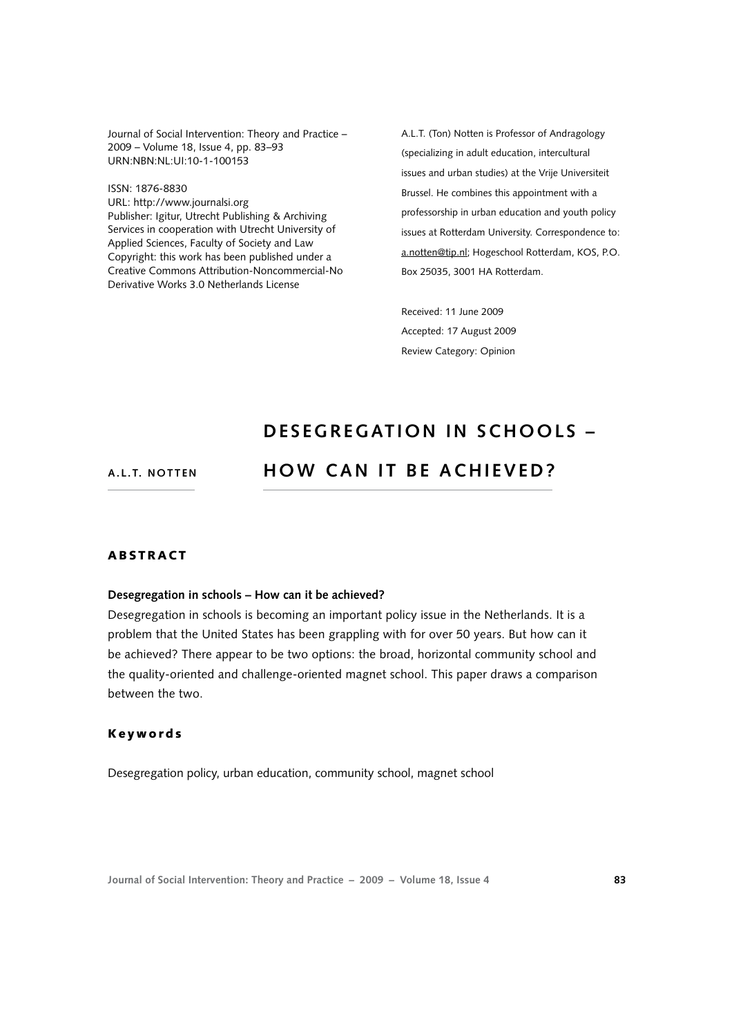Journal of Social Intervention: Theory and Practice – 2009 – Volume 18, Issue 4, pp. 83–93 URN:NBN:NL:UI:10-1-100153

ISSN: 1876-8830 URL: [http://www.journalsi.org](http://www.journalsi.org ) Publisher: Igitur, Utrecht Publishing & Archiving Services in cooperation with Utrecht University of Applied Sciences, Faculty of Society and Law Copyright: this work has been published under a Creative Commons Attribution-Noncommercial-No Derivative Works 3.0 Netherlands License

A.L.T. (Ton) Notten is Professor of Andragology (specializing in adult education, intercultural issues and urban studies) at the Vrije Universiteit Brussel. He combines this appointment with a professorship in urban education and youth policy issues at Rotterdam University. Correspondence to: [a.notten@tip.nl;](htpp://www.uvh.nl) Hogeschool Rotterdam, KOS, P.O. Box 25035, 3001 HA Rotterdam.

Received: 11 June 2009 Accepted: 17 August 2009 Review Category: Opinion

# **de s e g r e gati o n in S ch o o ls –**

#### **A . L . T. N o tten**

# **HOW CAN IT BE ACHIEVED?**

#### **ABSTRACT**

#### **Desegregation in schools – How can it be achieved?**

Desegregation in schools is becoming an important policy issue in the Netherlands. It is a problem that the United States has been grappling with for over 50 years. But how can it be achieved? There appear to be two options: the broad, horizontal community school and the quality-oriented and challenge-oriented magnet school. This paper draws a comparison between the two.

# K e y w o r d s

Desegregation policy, urban education, community school, magnet school

**Journal of Social Intervention: Theory and Practice – 2009 – Volume 18, Issue 4 83**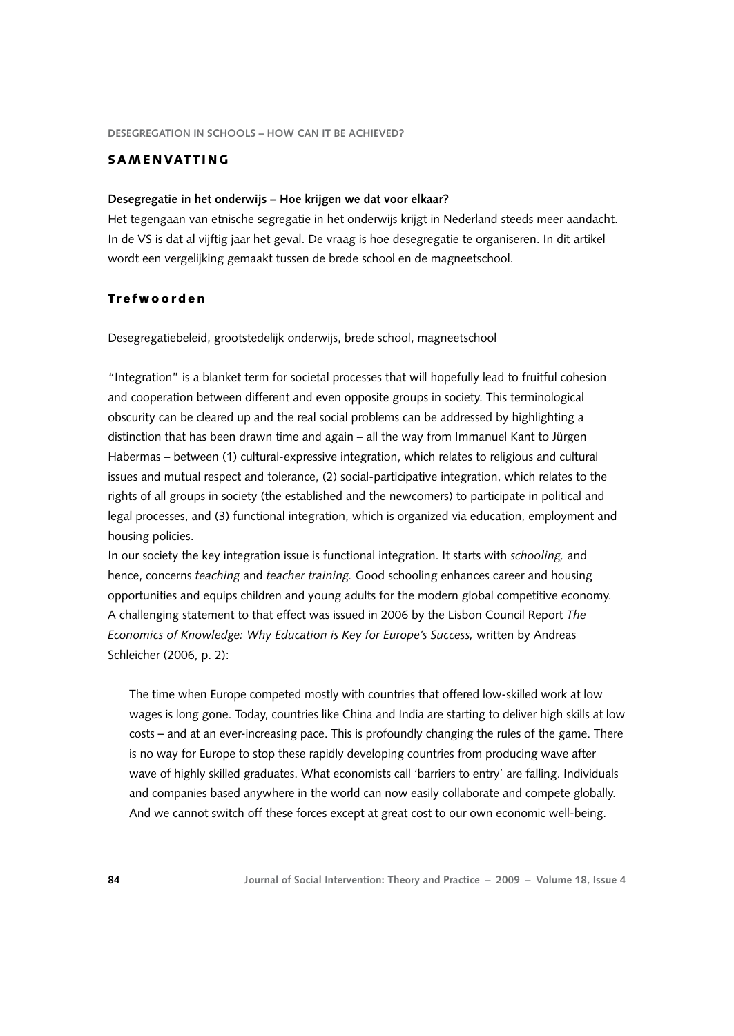#### SAMENVATTING

#### **Desegregatie in het onderwijs – Hoe krijgen we dat voor elkaar?**

Het tegengaan van etnische segregatie in het onderwijs krijgt in Nederland steeds meer aandacht. In de VS is dat al vijftig jaar het geval. De vraag is hoe desegregatie te organiseren. In dit artikel wordt een vergelijking gemaakt tussen de brede school en de magneetschool.

# Tr e f w o o r d e n

Desegregatiebeleid, grootstedelijk onderwijs, brede school, magneetschool

"Integration" is a blanket term for societal processes that will hopefully lead to fruitful cohesion and cooperation between different and even opposite groups in society. This terminological obscurity can be cleared up and the real social problems can be addressed by highlighting a distinction that has been drawn time and again – all the way from Immanuel Kant to Jürgen Habermas – between (1) cultural-expressive integration, which relates to religious and cultural issues and mutual respect and tolerance, (2) social-participative integration, which relates to the rights of all groups in society (the established and the newcomers) to participate in political and legal processes, and (3) functional integration, which is organized via education, employment and housing policies.

In our society the key integration issue is functional integration. It starts with *schooling,* and hence, concerns *teaching* and *teacher training.* Good schooling enhances career and housing opportunities and equips children and young adults for the modern global competitive economy. A challenging statement to that effect was issued in 2006 by the Lisbon Council Report *The Economics of Knowledge: Why Education is Key for Europe's Success,* written by Andreas Schleicher (2006, p. 2):

The time when Europe competed mostly with countries that offered low-skilled work at low wages is long gone. Today, countries like China and India are starting to deliver high skills at low costs – and at an ever-increasing pace. This is profoundly changing the rules of the game. There is no way for Europe to stop these rapidly developing countries from producing wave after wave of highly skilled graduates. What economists call 'barriers to entry' are falling. Individuals and companies based anywhere in the world can now easily collaborate and compete globally. And we cannot switch off these forces except at great cost to our own economic well-being.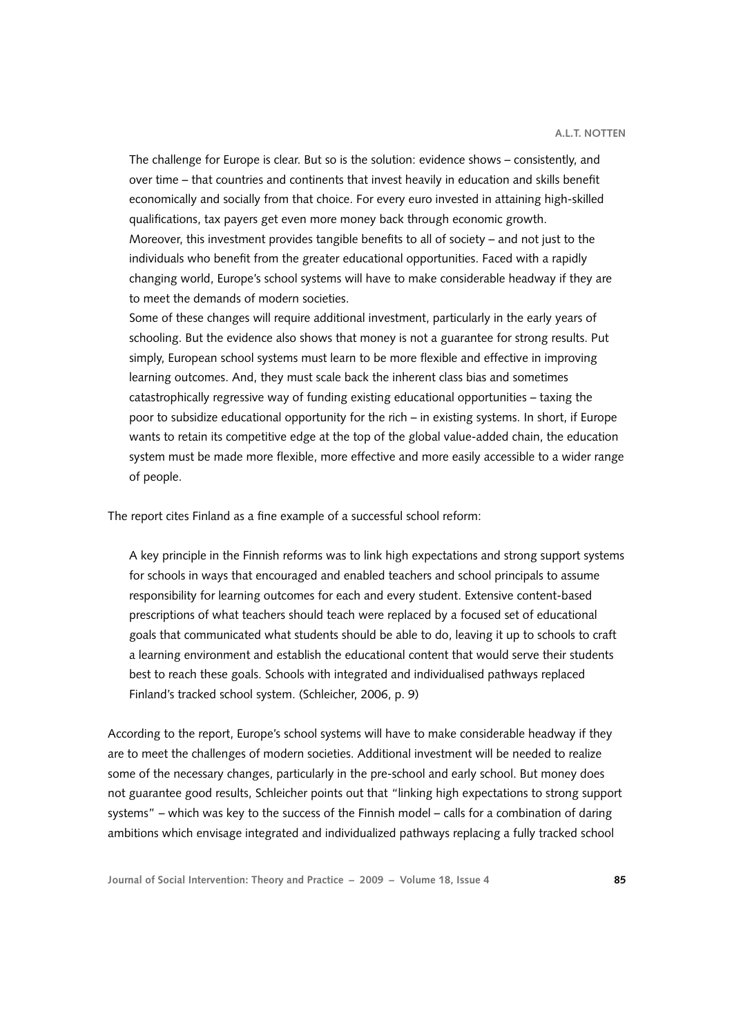The challenge for Europe is clear. But so is the solution: evidence shows – consistently, and over time – that countries and continents that invest heavily in education and skills benefit economically and socially from that choice. For every euro invested in attaining high-skilled qualifications, tax payers get even more money back through economic growth. Moreover, this investment provides tangible benefits to all of society – and not just to the individuals who benefit from the greater educational opportunities. Faced with a rapidly changing world, Europe's school systems will have to make considerable headway if they are to meet the demands of modern societies.

Some of these changes will require additional investment, particularly in the early years of schooling. But the evidence also shows that money is not a guarantee for strong results. Put simply, European school systems must learn to be more flexible and effective in improving learning outcomes. And, they must scale back the inherent class bias and sometimes catastrophically regressive way of funding existing educational opportunities – taxing the poor to subsidize educational opportunity for the rich – in existing systems. In short, if Europe wants to retain its competitive edge at the top of the global value-added chain, the education system must be made more flexible, more effective and more easily accessible to a wider range of people.

The report cites Finland as a fine example of a successful school reform:

A key principle in the Finnish reforms was to link high expectations and strong support systems for schools in ways that encouraged and enabled teachers and school principals to assume responsibility for learning outcomes for each and every student. Extensive content-based prescriptions of what teachers should teach were replaced by a focused set of educational goals that communicated what students should be able to do, leaving it up to schools to craft a learning environment and establish the educational content that would serve their students best to reach these goals. Schools with integrated and individualised pathways replaced Finland's tracked school system. (Schleicher, 2006, p. 9)

According to the report, Europe's school systems will have to make considerable headway if they are to meet the challenges of modern societies. Additional investment will be needed to realize some of the necessary changes, particularly in the pre-school and early school. But money does not guarantee good results, Schleicher points out that "linking high expectations to strong support systems" – which was key to the success of the Finnish model – calls for a combination of daring ambitions which envisage integrated and individualized pathways replacing a fully tracked school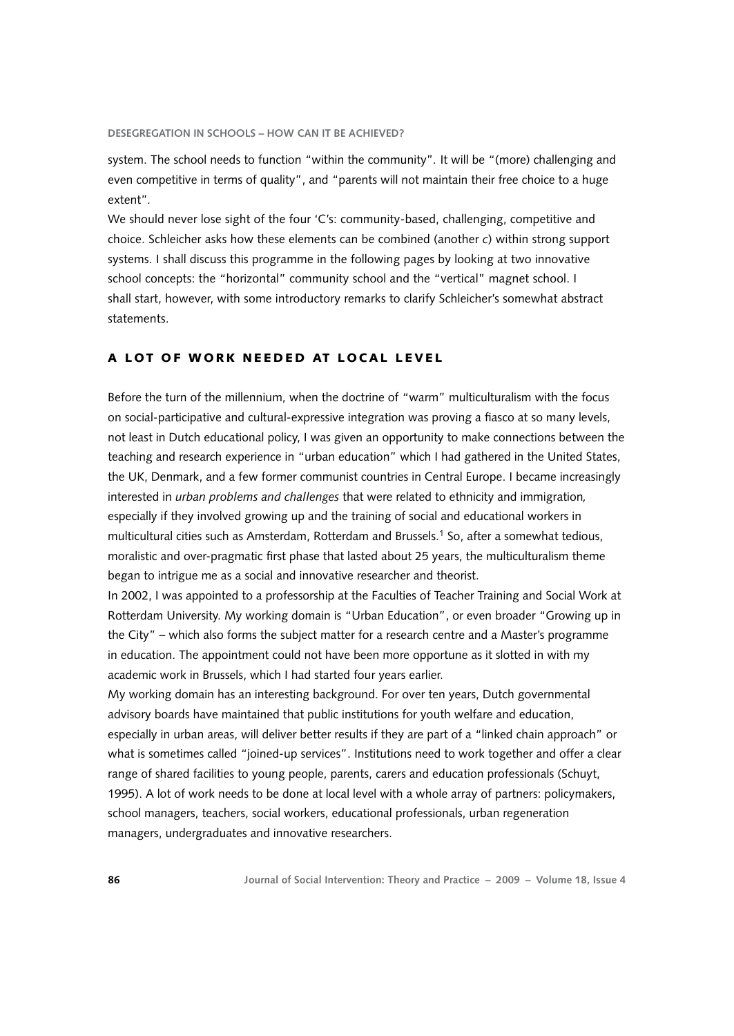system. The school needs to function "within the community"*.* It will be "(more) challenging and even competitive in terms of quality", and "parents will not maintain their free choice to a huge extent"*.*

We should never lose sight of the four 'C's: community-based, challenging, competitive and choice. Schleicher asks how these elements can be combined (another *c*) within strong support systems. I shall discuss this programme in the following pages by looking at two innovative school concepts: the "horizontal" community school and the "vertical" magnet school. I shall start, however, with some introductory remarks to clarify Schleicher's somewhat abstract statements.

# A LOT OF WORK NEEDED AT LOCAL LEVEL

Before the turn of the millennium, when the doctrine of "warm" multiculturalism with the focus on social-participative and cultural-expressive integration was proving a fiasco at so many levels, not least in Dutch educational policy, I was given an opportunity to make connections between the teaching and research experience in "urban education" which I had gathered in the United States, the UK, Denmark, and a few former communist countries in Central Europe. I became increasingly interested in *urban problems and challenges* that were related to ethnicity and immigration*,*  especially if they involved growing up and the training of social and educational workers in multicultural cities such as Amsterdam, Rotterdam and Brussels.[1](#page-9-0) So, after a somewhat tedious, moralistic and over-pragmatic first phase that lasted about 25 years, the multiculturalism theme began to intrigue me as a social and innovative researcher and theorist.

In 2002, I was appointed to a professorship at the Faculties of Teacher Training and Social Work at Rotterdam University. My working domain is "Urban Education", or even broader "Growing up in the City" – which also forms the subject matter for a research centre and a Master's programme in education. The appointment could not have been more opportune as it slotted in with my academic work in Brussels, which I had started four years earlier.

My working domain has an interesting background. For over ten years, Dutch governmental advisory boards have maintained that public institutions for youth welfare and education, especially in urban areas, will deliver better results if they are part of a "linked chain approach" or what is sometimes called "joined-up services". Institutions need to work together and offer a clear range of shared facilities to young people, parents, carers and education professionals (Schuyt, 1995). A lot of work needs to be done at local level with a whole array of partners: policymakers, school managers, teachers, social workers, educational professionals, urban regeneration managers, undergraduates and innovative researchers.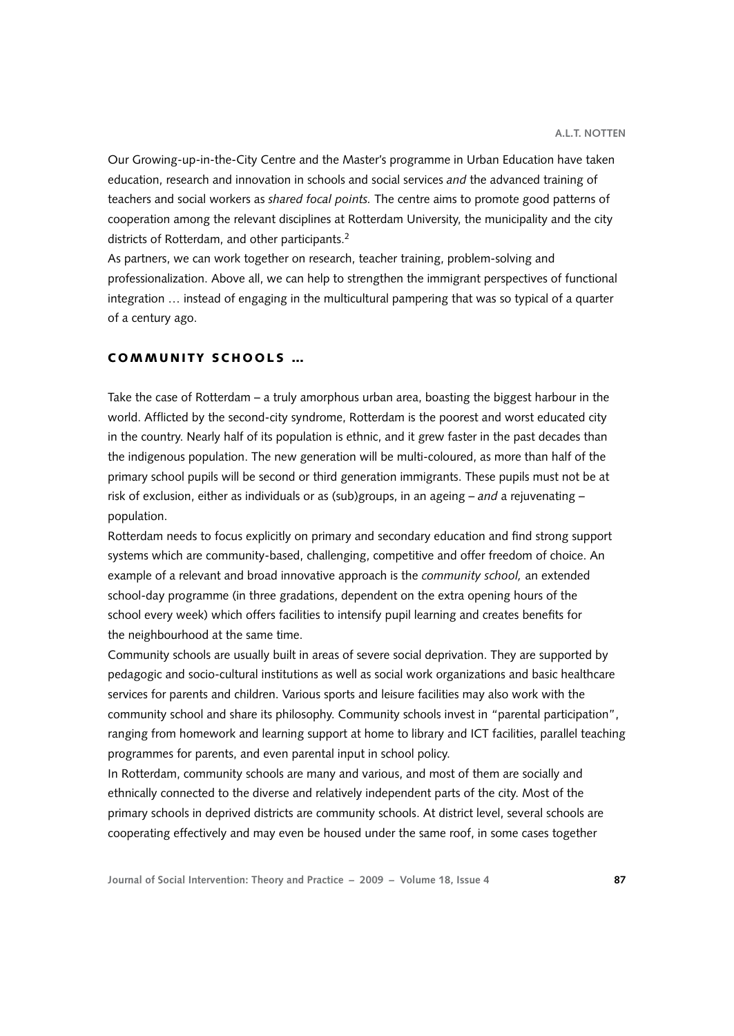Our Growing-up-in-the-City Centre and the Master's programme in Urban Education have taken education, research and innovation in schools and social services *and* the advanced training of teachers and social workers as *shared focal points.* The centre aims to promote good patterns of cooperation among the relevant disciplines at Rotterdam University, the municipality and the city districts of Rotterdam, and other participants.<sup>2</sup>

As partners, we can work together on research, teacher training, problem-solving and professionalization. Above all, we can help to strengthen the immigrant perspectives of functional integration … instead of engaging in the multicultural pampering that was so typical of a quarter of a century ago.

# COMMUNITY SCHOOLS ...

Take the case of Rotterdam – a truly amorphous urban area, boasting the biggest harbour in the world. Afflicted by the second-city syndrome, Rotterdam is the poorest and worst educated city in the country. Nearly half of its population is ethnic, and it grew faster in the past decades than the indigenous population. The new generation will be multi-coloured, as more than half of the primary school pupils will be second or third generation immigrants. These pupils must not be at risk of exclusion, either as individuals or as (sub)groups, in an ageing – *and* a rejuvenating – population.

Rotterdam needs to focus explicitly on primary and secondary education and find strong support systems which are community-based, challenging, competitive and offer freedom of choice. An example of a relevant and broad innovative approach is the *community school,* an extended school-day programme (in three gradations, dependent on the extra opening hours of the school every week) which offers facilities to intensify pupil learning and creates benefits for the neighbourhood at the same time.

Community schools are usually built in areas of severe social deprivation. They are supported by pedagogic and socio-cultural institutions as well as social work organizations and basic healthcare services for parents and children. Various sports and leisure facilities may also work with the community school and share its philosophy. Community schools invest in "parental participation", ranging from homework and learning support at home to library and ICT facilities, parallel teaching programmes for parents, and even parental input in school policy.

In Rotterdam, community schools are many and various, and most of them are socially and ethnically connected to the diverse and relatively independent parts of the city. Most of the primary schools in deprived districts are community schools. At district level, several schools are cooperating effectively and may even be housed under the same roof, in some cases together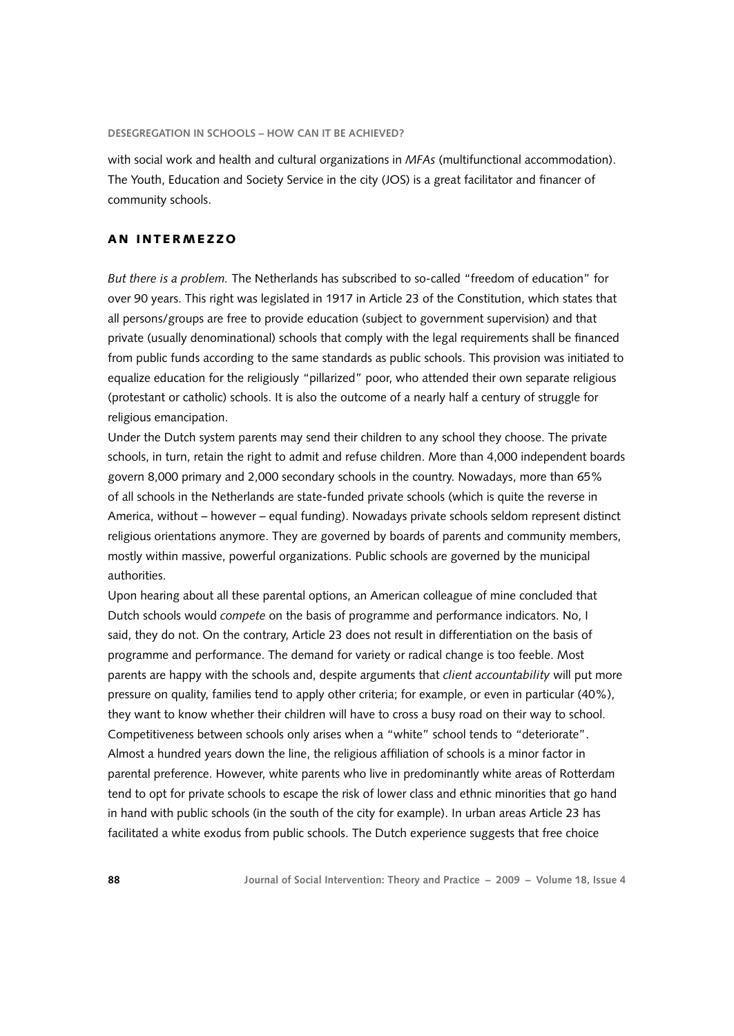with social work and health and cultural organizations in *MFAs* (multifunctional accommodation). The Youth, Education and Society Service in the city (JOS) is a great facilitator and financer of community schools.

# AN INTERMEZZO

*But there is a problem.* The Netherlands has subscribed to so-called "freedom of education" for over 90 years. This right was legislated in 1917 in Article 23 of the Constitution, which states that all persons/groups are free to provide education (subject to government supervision) and that private (usually denominational) schools that comply with the legal requirements shall be financed from public funds according to the same standards as public schools. This provision was initiated to equalize education for the religiously "pillarized" poor, who attended their own separate religious (protestant or catholic) schools. It is also the outcome of a nearly half a century of struggle for religious emancipation.

Under the Dutch system parents may send their children to any school they choose. The private schools, in turn, retain the right to admit and refuse children. More than 4,000 independent boards govern 8,000 primary and 2,000 secondary schools in the country. Nowadays, more than 65% of all schools in the Netherlands are state-funded private schools (which is quite the reverse in America, without – however – equal funding). Nowadays private schools seldom represent distinct religious orientations anymore. They are governed by boards of parents and community members, mostly within massive, powerful organizations. Public schools are governed by the municipal authorities.

Upon hearing about all these parental options, an American colleague of mine concluded that Dutch schools would *compete* on the basis of programme and performance indicators. No, I said, they do not. On the contrary, Article 23 does not result in differentiation on the basis of programme and performance. The demand for variety or radical change is too feeble. Most parents are happy with the schools and, despite arguments that *client accountability* will put more pressure on quality, families tend to apply other criteria; for example, or even in particular (40%), they want to know whether their children will have to cross a busy road on their way to school. Competitiveness between schools only arises when a "white" school tends to "deteriorate". Almost a hundred years down the line, the religious affiliation of schools is a minor factor in parental preference. However, white parents who live in predominantly white areas of Rotterdam tend to opt for private schools to escape the risk of lower class and ethnic minorities that go hand in hand with public schools (in the south of the city for example). In urban areas Article 23 has facilitated a white exodus from public schools. The Dutch experience suggests that free choice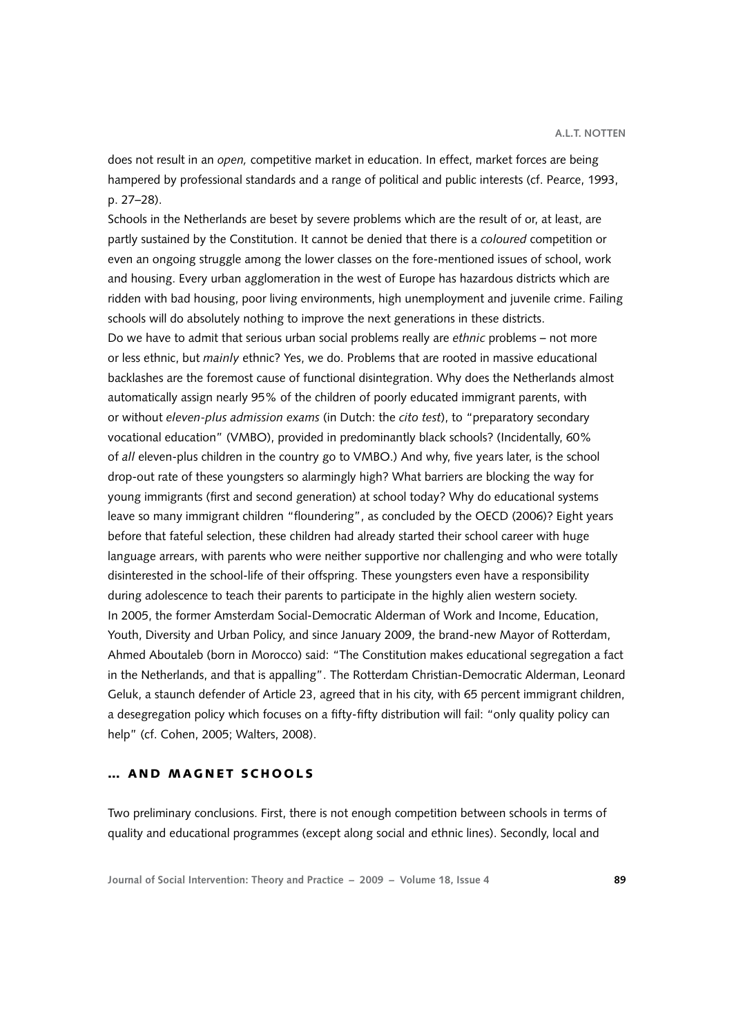does not result in an *open,* competitive market in education. In effect, market forces are being hampered by professional standards and a range of political and public interests (cf. Pearce, 1993, p. 27–28).

Schools in the Netherlands are beset by severe problems which are the result of or, at least, are partly sustained by the Constitution. It cannot be denied that there is a *coloured* competition or even an ongoing struggle among the lower classes on the fore-mentioned issues of school, work and housing. Every urban agglomeration in the west of Europe has hazardous districts which are ridden with bad housing, poor living environments, high unemployment and juvenile crime. Failing schools will do absolutely nothing to improve the next generations in these districts. Do we have to admit that serious urban social problems really are *ethnic* problems – not more or less ethnic, but *mainly* ethnic? Yes, we do. Problems that are rooted in massive educational backlashes are the foremost cause of functional disintegration. Why does the Netherlands almost automatically assign nearly 95% of the children of poorly educated immigrant parents, with or without *eleven-plus admission exams* (in Dutch: the *cito test*), to "preparatory secondary vocational education" (VMBO), provided in predominantly black schools? (Incidentally, 60% of *all* eleven-plus children in the country go to VMBO.) And why, five years later, is the school drop-out rate of these youngsters so alarmingly high? What barriers are blocking the way for young immigrants (first and second generation) at school today? Why do educational systems leave so many immigrant children "floundering", as concluded by the OECD (2006)? Eight years before that fateful selection, these children had already started their school career with huge language arrears, with parents who were neither supportive nor challenging and who were totally disinterested in the school-life of their offspring. These youngsters even have a responsibility during adolescence to teach their parents to participate in the highly alien western society. In 2005, the former Amsterdam Social-Democratic Alderman of Work and Income, Education, Youth, Diversity and Urban Policy, and since January 2009, the brand-new Mayor of Rotterdam, Ahmed Aboutaleb (born in Morocco) said: "The Constitution makes educational segregation a fact in the Netherlands, and that is appalling". The Rotterdam Christian-Democratic Alderman, Leonard Geluk, a staunch defender of Article 23, agreed that in his city, with 65 percent immigrant children, a desegregation policy which focuses on a fifty-fifty distribution will fail: "only quality policy can help" (cf. Cohen, 2005; Walters, 2008).

#### … AND MAGNET SCHOOLS

Two preliminary conclusions. First, there is not enough competition between schools in terms of quality and educational programmes (except along social and ethnic lines). Secondly, local and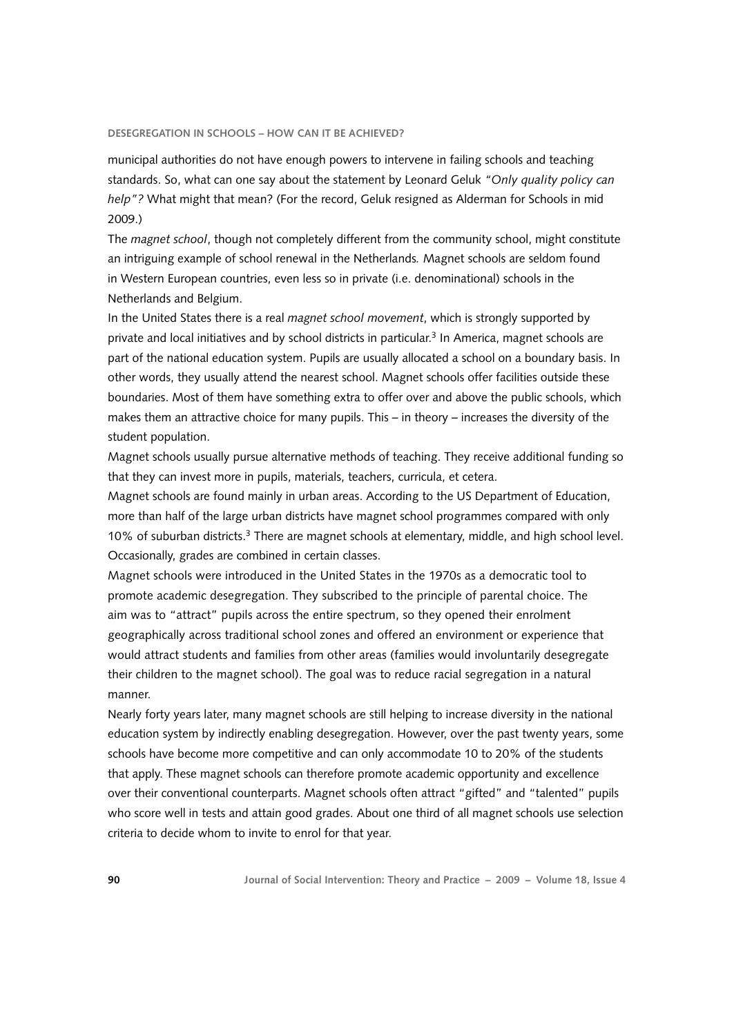municipal authorities do not have enough powers to intervene in failing schools and teaching standards. So, what can one say about the statement by Leonard Geluk *"Only quality policy can help"?* What might that mean? (For the record, Geluk resigned as Alderman for Schools in mid 2009.)

The *magnet school*, though not completely different from the community school, might constitute an intriguing example of school renewal in the Netherlands*.* Magnet schools are seldom found in Western European countries, even less so in private (i.e. denominational) schools in the Netherlands and Belgium.

In the United States there is a real *magnet school movement*, which is strongly supported by private and local initiatives and by school districts in particular.<sup>3</sup> In America, magnet schools are part of the national education system. Pupils are usually allocated a school on a boundary basis. In other words, they usually attend the nearest school. Magnet schools offer facilities outside these boundaries. Most of them have something extra to offer over and above the public schools, which makes them an attractive choice for many pupils. This – in theory – increases the diversity of the student population.

Magnet schools usually pursue alternative methods of teaching. They receive additional funding so that they can invest more in pupils, materials, teachers, curricula, et cetera.

Magnet schools are found mainly in urban areas. According to the US Department of Education, more than half of the large urban districts have magnet school programmes compared with only 10% of suburban districts.[3](#page-9-0) There are magnet schools at elementary, middle, and high school level. Occasionally, grades are combined in certain classes.

Magnet schools were introduced in the United States in the 1970s as a democratic tool to promote academic desegregation. They subscribed to the principle of parental choice. The aim was to "attract" pupils across the entire spectrum, so they opened their enrolment geographically across traditional school zones and offered an environment or experience that would attract students and families from other areas (families would involuntarily desegregate their children to the magnet school). The goal was to reduce racial segregation in a natural manner.

Nearly forty years later, many magnet schools are still helping to increase diversity in the national education system by indirectly enabling desegregation. However, over the past twenty years, some schools have become more competitive and can only accommodate 10 to 20% of the students that apply. These magnet schools can therefore promote academic opportunity and excellence over their conventional counterparts. Magnet schools often attract "gifted" and "talented" pupils who score well in tests and attain good grades. About one third of all magnet schools use selection criteria to decide whom to invite to enrol for that year.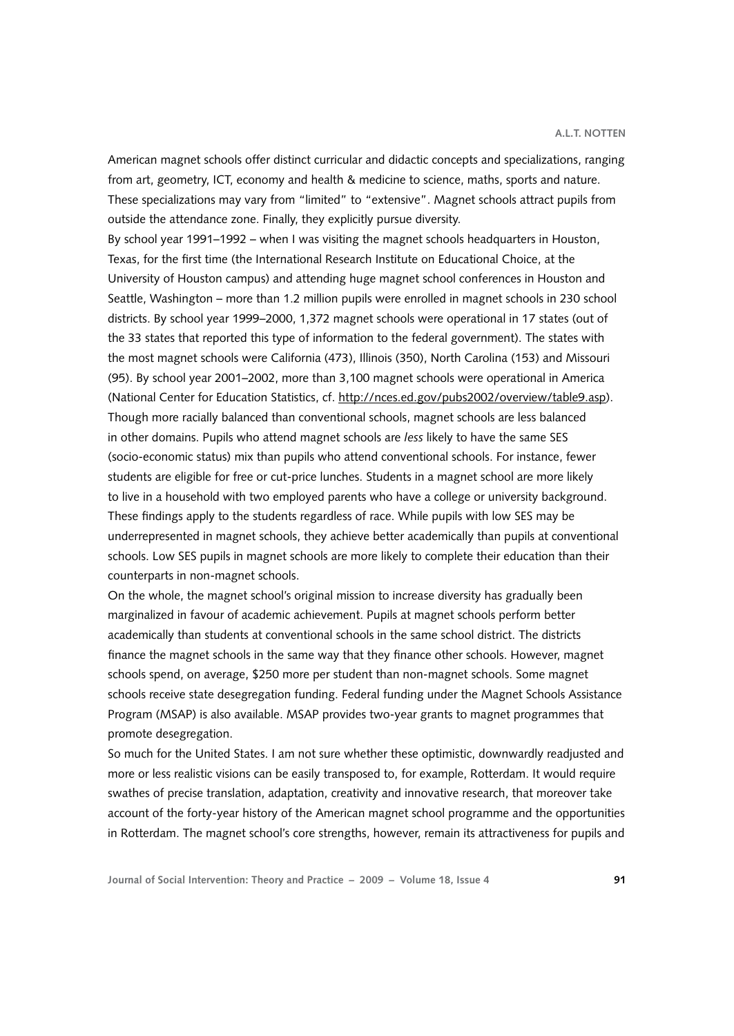American magnet schools offer distinct curricular and didactic concepts and specializations, ranging from art, geometry, ICT, economy and health & medicine to science, maths, sports and nature. These specializations may vary from "limited" to "extensive". Magnet schools attract pupils from outside the attendance zone. Finally, they explicitly pursue diversity.

By school year 1991–1992 – when I was visiting the magnet schools headquarters in Houston, Texas, for the first time (the International Research Institute on Educational Choice, at the University of Houston campus) and attending huge magnet school conferences in Houston and Seattle, Washington – more than 1.2 million pupils were enrolled in magnet schools in 230 school districts. By school year 1999–2000, 1,372 magnet schools were operational in 17 states (out of the 33 states that reported this type of information to the federal government). The states with the most magnet schools were California (473), Illinois (350), North Carolina (153) and Missouri (95). By school year 2001–2002, more than 3,100 magnet schools were operational in America (National Center for Education Statistics, cf.<http://nces.ed.gov/pubs2002/overview/table9.asp>). Though more racially balanced than conventional schools, magnet schools are less balanced in other domains. Pupils who attend magnet schools are *less* likely to have the same SES (socio-economic status) mix than pupils who attend conventional schools. For instance, fewer students are eligible for free or cut-price lunches. Students in a magnet school are more likely to live in a household with two employed parents who have a college or university background. These findings apply to the students regardless of race. While pupils with low SES may be underrepresented in magnet schools, they achieve better academically than pupils at conventional schools. Low SES pupils in magnet schools are more likely to complete their education than their counterparts in non-magnet schools.

On the whole, the magnet school's original mission to increase diversity has gradually been marginalized in favour of academic achievement. Pupils at magnet schools perform better academically than students at conventional schools in the same school district. The districts finance the magnet schools in the same way that they finance other schools. However, magnet schools spend, on average, \$250 more per student than non-magnet schools. Some magnet schools receive state desegregation funding. Federal funding under the Magnet Schools Assistance Program (MSAP) is also available. MSAP provides two-year grants to magnet programmes that promote desegregation.

So much for the United States. I am not sure whether these optimistic, downwardly readjusted and more or less realistic visions can be easily transposed to, for example, Rotterdam. It would require swathes of precise translation, adaptation, creativity and innovative research, that moreover take account of the forty-year history of the American magnet school programme and the opportunities in Rotterdam. The magnet school's core strengths, however, remain its attractiveness for pupils and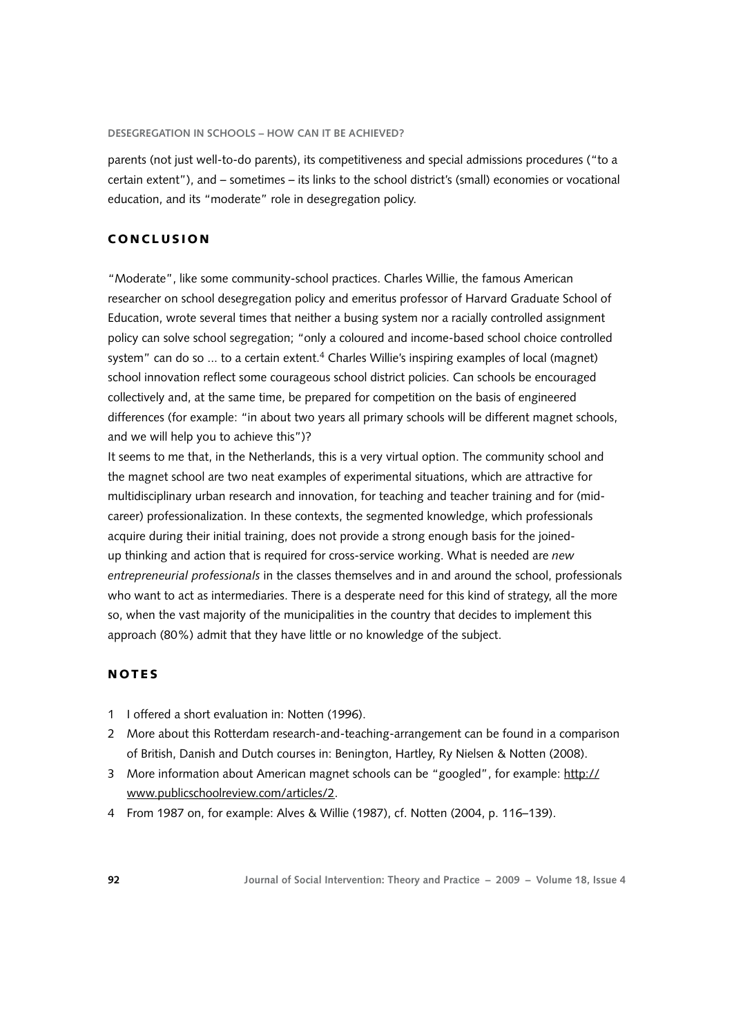<span id="page-9-0"></span>parents (not just well-to-do parents), its competitiveness and special admissions procedures ("to a certain extent"), and – sometimes – its links to the school district's (small) economies or vocational education, and its "moderate" role in desegregation policy.

## C o ncl u si o n

"Moderate", like some community-school practices. Charles Willie, the famous American researcher on school desegregation policy and emeritus professor of Harvard Graduate School of Education, wrote several times that neither a busing system nor a racially controlled assignment policy can solve school segregation; "only a coloured and income-based school choice controlled system" can do so ... to a certain extent.<sup>4</sup> Charles Willie's inspiring examples of local (magnet) school innovation reflect some courageous school district policies. Can schools be encouraged collectively and, at the same time, be prepared for competition on the basis of engineered differences (for example: "in about two years all primary schools will be different magnet schools, and we will help you to achieve this")?

It seems to me that, in the Netherlands, this is a very virtual option. The community school and the magnet school are two neat examples of experimental situations, which are attractive for multidisciplinary urban research and innovation, for teaching and teacher training and for (midcareer) professionalization. In these contexts, the segmented knowledge, which professionals acquire during their initial training, does not provide a strong enough basis for the joinedup thinking and action that is required for cross-service working. What is needed are *new entrepreneurial professionals* in the classes themselves and in and around the school, professionals who want to act as intermediaries. There is a desperate need for this kind of strategy, all the more so, when the vast majority of the municipalities in the country that decides to implement this approach (80%) admit that they have little or no knowledge of the subject.

## **NOTES**

- 1 I offered a short evaluation in: Notten (1996).
- 2 More about this Rotterdam research-and-teaching-arrangement can be found in a comparison of British, Danish and Dutch courses in: Benington, Hartley, Ry Nielsen & Notten (2008).
- 3 More information about American magnet schools can be "googled", for example: [http://](http://www.publicschoolreview.com/articles/2) [www.publicschoolreview.com/articles/2.](http://www.publicschoolreview.com/articles/2)
- 4 From 1987 on, for example: Alves & Willie (1987), cf. Notten (2004, p. 116–139).